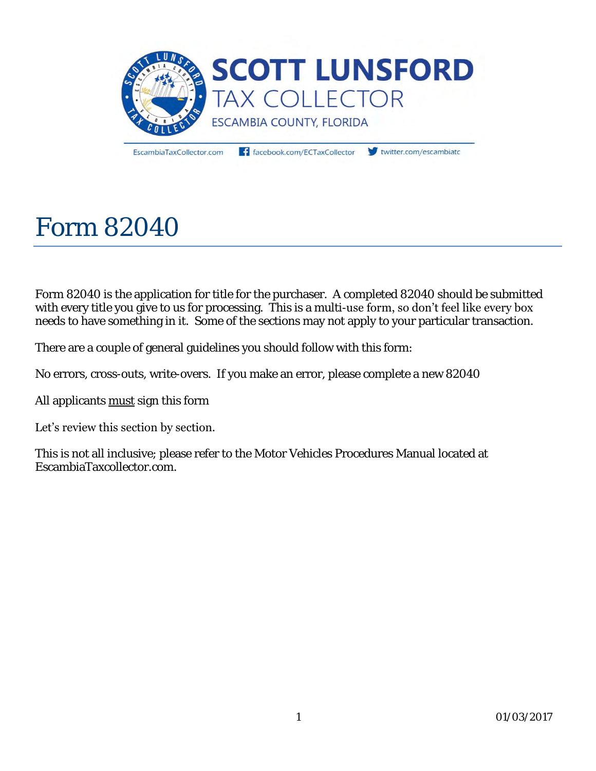

EscambiaTaxCollector.com

facebook.com/ECTaxCollector

twitter.com/escambiate

# Form 82040

Form 82040 is the application for title for the purchaser. A completed 82040 should be submitted with every title you give to us for processing. This is a multi-use form, so don't feel like every box needs to have something in it. Some of the sections may not apply to your particular transaction.

There are a couple of general guidelines you should follow with this form:

No errors, cross-outs, write-overs. If you make an error, please complete a new 82040

All applicants must sign this form

#### Let's review this section by section.

This is not all inclusive; please refer to the Motor Vehicles Procedures Manual located at EscambiaTaxcollector.com.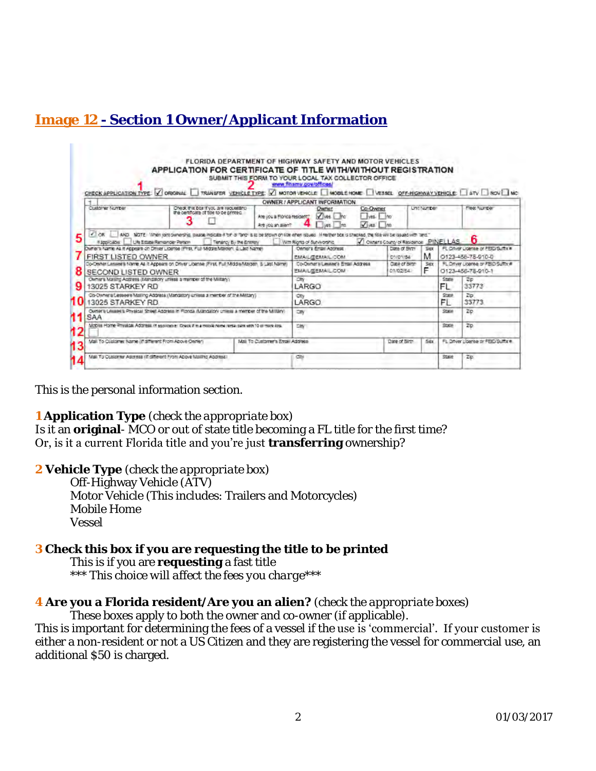## **Image 12 - Section 1 Owner/Applicant Information**

|                                                       | J ORIGINAL                                                                                                                                                                                                                            | TRANSFER, VEHICLE TYPE:                           | V MOTOR VEHICLE MOBILE HOME VESSEL OFF-HIGHWAY VEHICLE   ATV   ROV   NC<br>OWNER / APPLICANT INFORMATION                                                         |                                                                     |                    |              |                                                              |
|-------------------------------------------------------|---------------------------------------------------------------------------------------------------------------------------------------------------------------------------------------------------------------------------------------|---------------------------------------------------|------------------------------------------------------------------------------------------------------------------------------------------------------------------|---------------------------------------------------------------------|--------------------|--------------|--------------------------------------------------------------|
| Customer Number                                       | Check this box if you are requesting<br>the certificate of title to be printed.                                                                                                                                                       | Are you a Florida resident?<br>Are voir an allen? | Co-Owner<br>Owner<br>Vives.<br>ves. no<br><b>Inc</b><br>$\sqrt{1}$ as<br>I Tues.                                                                                 |                                                                     | <b>Unit Number</b> |              | Fleet Number                                                 |
| 105<br><b>Hatevicate</b><br><b>FIRST LISTED OWNER</b> | AND . NOTE: "When kim ownership, please indicate it for its famori is to be shown on<br>UN Estate Remainder Person<br>Tenancy By the Entrew<br>Durier's hame As it Appears on Driver Liberte (First, Full-Middle-Makten, & Last Name) |                                                   | when issued. If neither box is theoried, the fille will be issued with land."<br>With Rioris of Survivorship<br>Owner's Empil Address<br><b>EMAIL/DEMAIL COM</b> | VI Owners County of Residence PINELLAS<br>Date of Birth<br>05/01/54 | Ser<br>м           |              | n<br>FL Criver Ligense or FEID Suffix #<br>0123-455-75-910-0 |
| SECOND LISTED OWNER                                   | Co-Osher Lassee's Name As it Appears on Driver Liberale (First, Full Middle-Maiden, & Last Name)                                                                                                                                      |                                                   | Co-Oxnera Lesline's Ettal Address<br>EMA/LISEMA/LICOM                                                                                                            | Cupil-of Birth<br>01/02/54                                          | Ser<br>F           |              | FL Online Ligense or PBID Suffix #<br>0123-456-78-010-1      |
| 13025 STARKEY RD                                      | Owner's Maling Aggress (Mandalory unless a maniper of the Military)                                                                                                                                                                   |                                                   | Otty<br>LARGO                                                                                                                                                    |                                                                     |                    | State<br>EL. | 2p<br>33773                                                  |
| 13025 STARKEY RD                                      | Co-Chineria Lesseere Mailing Address (Mangator) unless a mentier of the Military)                                                                                                                                                     |                                                   | City<br>LARGO.                                                                                                                                                   |                                                                     |                    | State<br>FL  | Zo<br>33773                                                  |
|                                                       |                                                                                                                                                                                                                                       |                                                   | CIN                                                                                                                                                              |                                                                     |                    | <b>State</b> | 20                                                           |
| SAA                                                   | Outsin's Links Hitler Street Address in Florida (Mandatory criters a member of the Miltary)                                                                                                                                           |                                                   |                                                                                                                                                                  |                                                                     |                    |              |                                                              |
|                                                       | Mobile Home Physical Address in applicable Check if in a mobile nome restal pare with 10 of more loss.                                                                                                                                |                                                   | CIN                                                                                                                                                              |                                                                     |                    | <b>State</b> | 2 <sub>D</sub>                                               |
| Mail To Customer Name (if different From Above Owner) |                                                                                                                                                                                                                                       | Mail To Customer's Ewail Address                  |                                                                                                                                                                  | Date of Birth                                                       | Sex                |              | FL Driver Liberse or FEID Suffix #                           |

This is the personal information section.

**TELEVISION** 

**1 Application Type** *(check the appropriate box)*

Is it an **original**- MCO or out of state title becoming a FL title for the first time? Or, is it a current Florida title and you're just **transferring** ownership?

**2 Vehicle Type** *(check the appropriate box)*

Off-Highway Vehicle (ATV)

 Motor Vehicle (This includes: Trailers and Motorcycles) Mobile Home Vessel

**3 Check this box if you are requesting the title to be printed**  This is if you are **requesting** a fast title  *\*\*\* This choice will affect the fees you charge\*\*\** 

**4 Are you a Florida resident/Are you an alien?** *(check the appropriate boxes)*

These boxes apply to both the owner and co-owner (if applicable).

This is important for determining the fees of a vessel if the use is 'commercial'. If your customer is either a non-resident or not a US Citizen and they are registering the vessel for commercial use, an additional \$50 is charged.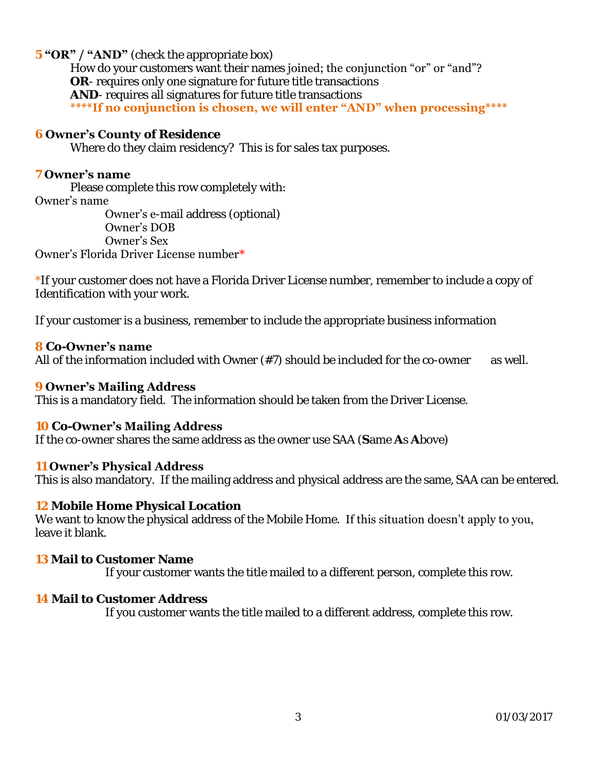#### **5 "OR" / "AND"** (check the appropriate box)

How do your customers want their names joined; the conjunction "or" or "and"? **OR**- requires only one signature for future title transactions **AND**- requires all signatures for future title transactions **\*\*\*\*If no conjunction is chosen, we will enter "AND" when processing\*\*\*\***

#### **6 Owner's County of Residence**

Where do they claim residency? This is for sales tax purposes.

#### **7 Owner's name**

Please complete this row completely with:

#### Owner's name

 Owner's e-mail address (optional) Owner's DOB Owner's Sex

#### Owner's Florida Driver License number\*

\*If your customer does not have a Florida Driver License number, remember to include a copy of Identification with your work.

If your customer is a business, remember to include the appropriate business information

#### **8 Co-Owner's name**

All of the information included with Owner  $(\#7)$  should be included for the co-owner as well.

#### **9 Owner's Mailing Address**

This is a mandatory field. The information should be taken from the Driver License.

#### **10 Co-Owner's Mailing Address**

If the co-owner shares the same address as the owner use SAA (**S**ame **A**s **A**bove)

#### **11 Owner's Physical Address**

This is also mandatory. If the mailing address and physical address are the same, SAA can be entered.

**12 Mobile Home Physical Location**

We want to know the physical address of the Mobile Home. If this situation doesn't apply to you, leave it blank.

#### **13 Mail to Customer Name**

If your customer wants the title mailed to a different person, complete this row.

#### **14 Mail to Customer Address**

If you customer wants the title mailed to a different address, complete this row.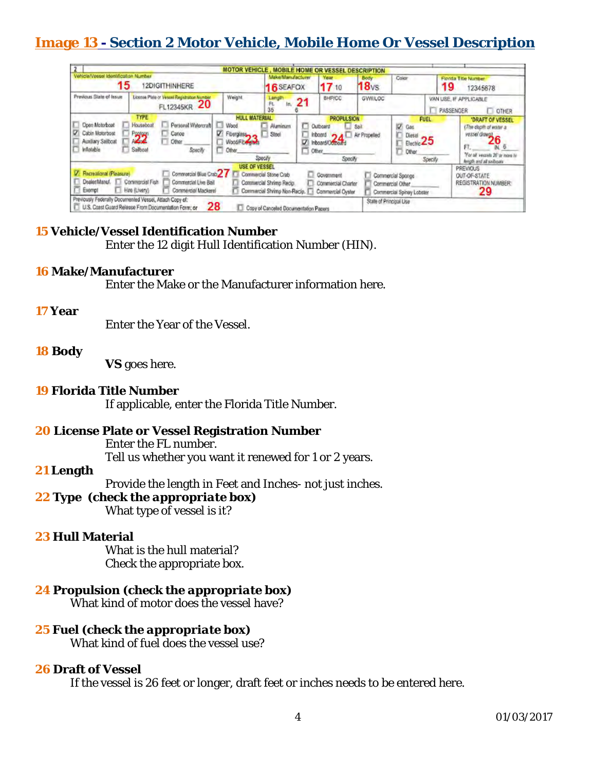## **Image 13 - Section 2 Motor Vehicle, Mobile Home Or Vessel Description**

|                                                                                     |                                                                                                                           |                                                                                                       | MOTOR VEHICLE, MOBILE HOME OR VESSEL DESCRIPTION                                  |                                                                                  |                          |                                                                    |                                     |                                                                                                                                          |
|-------------------------------------------------------------------------------------|---------------------------------------------------------------------------------------------------------------------------|-------------------------------------------------------------------------------------------------------|-----------------------------------------------------------------------------------|----------------------------------------------------------------------------------|--------------------------|--------------------------------------------------------------------|-------------------------------------|------------------------------------------------------------------------------------------------------------------------------------------|
| Vehicle/Vessel Identification Number<br>15                                          | 2DIGITHINHERE                                                                                                             |                                                                                                       | Make/Manufacturer<br>16 SEAFOX                                                    | Your<br>17 10                                                                    | Body<br>18 <sub>vs</sub> | Color                                                              | 19                                  | Florida Title Number<br>12345678                                                                                                         |
| Previous State of Issue                                                             | License Plate or Vessel Registration Number<br>20<br>FL12345KR                                                            | Weight.                                                                                               | Length<br>21<br>FL<br>In.<br>35                                                   | <b>BHP/CC</b>                                                                    | <b>GWW.LOC</b>           |                                                                    | VAN USE, IF APPLICABLE<br>PASSENGER | <b>OTHER</b>                                                                                                                             |
| Open Motorboat<br>Cabin Motorboat<br>Auxiliary Sailboat<br><i><b>Inflatable</b></i> | <b>TYPE</b><br>Houseboat<br>Personal Watercraft<br>Carice<br>Pagen<br><b>Allah</b><br>Other<br>Sailboat<br><b>Specify</b> | <b>HULL MATERIAL</b><br>Wood<br>IJ<br>⊽<br>Fiberglass <sub>2</sub><br>Wood/Fibrary Mars<br>Other<br>u | <b>Aluminum</b><br>о<br>Steel<br>v<br>o<br>Specify                                | <b>PROPULSION</b><br>Outboard<br>Inboard.<br>Inboard/Domoard<br>Other<br>Specify | Sail<br>Air Propelled    | <b>FUEL</b><br>Gas<br>Diesel<br>Electric 25<br>Other               | Specify                             | 'DRAFT OF VESSEL<br>(The depth of water a<br>vessel draws <sup>3</sup><br>IN.<br>"For all vectats 26" or more<br>fingth and all salboais |
| Recreational (Pleasure)<br>DealerManuf.<br>Exempt                                   | Commercial Blue Crab 27<br>Commercial Fish<br>Commercial Live Bail<br>Hire (Livery)<br>Commercial Mackerel                | <b>USE OF VESSEL</b>                                                                                  | Commercial Stone Crab<br>Commercial Shrimp Recip.<br>Commercial Shrimp Non-Recip. | Government<br>u<br>Commercial Charter<br>Commercial Oyster                       |                          | Commercial Sponge<br>Commercial Other<br>Commercial Spiney Lobster |                                     | <b>PREVIOUS</b><br>OUT-OF-STATE<br><b>REGISTRATION NUMBER:</b><br>29                                                                     |
|                                                                                     | Previously Federally Documented Vessel, Attach Copy of:<br>U.S. Coast Guard Release From Documentation Form; or           | 28                                                                                                    | Copy of Canceled Documentation Papers                                             |                                                                                  | State of Principal Use   |                                                                    |                                     |                                                                                                                                          |

#### **15 Vehicle/Vessel Identification Number**  Enter the 12 digit Hull Identification Number (HIN).

**16 Make/Manufacturer** 

Enter the Make or the Manufacturer information here.

#### **17 Year**

Enter the Year of the Vessel.

#### **18 Body**

**VS** goes here.

- **19 Florida Title Number**  If applicable, enter the Florida Title Number.
- **20 License Plate or Vessel Registration Number**  Enter the FL number. Tell us whether you want it renewed for 1 or 2 years.

#### **21 Length**

Provide the length in Feet and Inches- not just inches.

- **22 Type** *(check the appropriate box)*  What type of vessel is it?
- **23 Hull Material**  What is the hull material? Check the appropriate box.
- **24 Propulsion** *(check the appropriate box)* What kind of motor does the vessel have?
- **25 Fuel** *(check the appropriate box)* What kind of fuel does the vessel use?

#### **26 Draft of Vessel**

If the vessel is 26 feet or longer, draft feet or inches needs to be entered here.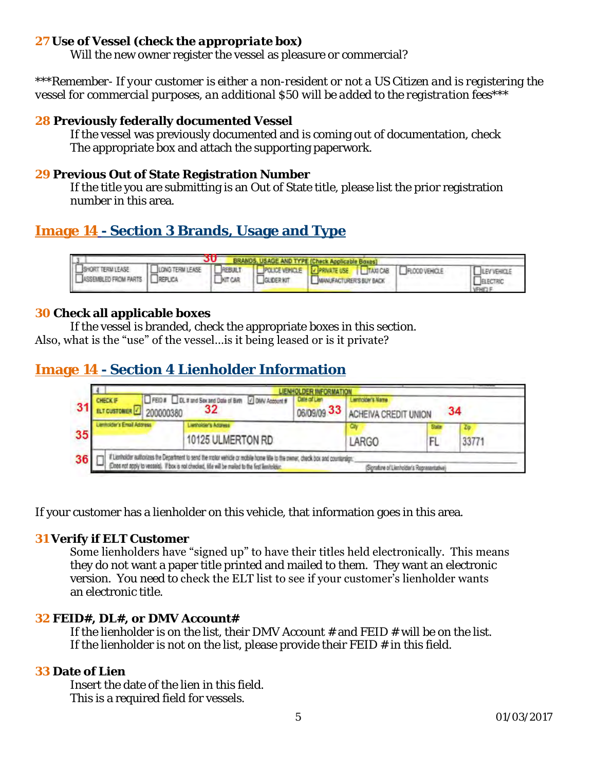**27 Use of Vessel** *(check the appropriate box)*

Will the new owner register the vessel as pleasure or commercial?

*\*\*\*Remember- If your customer is either a non-resident or not a US Citizen and is registering the vessel for commercial purposes, an additional \$50 will be added to the registration fees\*\*\** 

#### **28 Previously federally documented Vessel**

 If the vessel was previously documented and is coming out of documentation, check The appropriate box and attach the supporting paperwork.

#### **29 Previous Out of State Registration Number**

 If the title you are submitting is an Out of State title, please list the prior registration number in this area.

## **Image 14 - Section 3 Brands, Usage and Type**

|                             |         |            | BRANDS, USAGE AND TYPE (Check Applicable Boxes)                                                             |                                                  |
|-----------------------------|---------|------------|-------------------------------------------------------------------------------------------------------------|--------------------------------------------------|
| SHORT TERM LEASE   LONG TER | KIT CAR | GLIDER KIT | <b>CIONOTERMIEASE CREBULT CPOLICEVEHICLE CPRIVATE USE CITAXICAB CROODVEHICLE</b><br>MANUFACTURER'S BUY BACK | <b>LEV VEHICLE</b><br>ELECTRIC<br><b>VEHICLE</b> |

#### **30 Check all applicable boxes**

If the vessel is branded, check the appropriate boxes in this section.

Also, what is the "use" of the vessel…is it being leased or is it private?

## **Image 14 - Section 4 Lienholder Information**

| CHECKIF<br>200000380 | FEID # DL # and Sex and Date of Birth 7 DMV Account #<br>32 | Date of Lien<br>06/09/09 33 | ders Name<br>ACHEIVA CREDIT UNION |                      | 34    |
|----------------------|-------------------------------------------------------------|-----------------------------|-----------------------------------|----------------------|-------|
| dar's Email Address  | letholder's Adgress<br>10125 ULMERTON RD                    |                             | <b>LARGO</b>                      | <b>Station</b><br>FL | 33771 |

If your customer has a lienholder on this vehicle, that information goes in this area.

#### **31 Verify if ELT Customer**

Some lienholders have "signed up" to have their titles held electronically. This means they do not want a paper title printed and mailed to them. They want an electronic version. You need to check the ELT list to see if your customer's lienholder wants an electronic title.

#### **32 FEID#, DL#, or DMV Account#**

If the lienholder is on the list, their DMV Account  $#$  and FEID  $#$  will be on the list. If the lienholder is not on the list, please provide their  $FED \#$  in this field.

#### **33 Date of Lien**

 Insert the date of the lien in this field. This is a required field for vessels.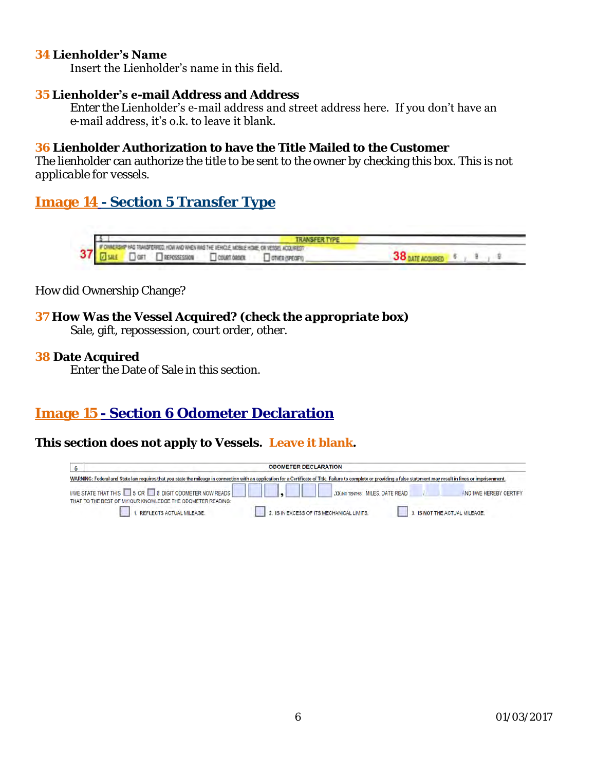#### **34 Lienholder's Name**

Insert the Lienholder's name in this field.

#### **35 Lienholder's e-mail Address and Address**

 Enter the Lienholder's e-mail address and street address here. If you don't have an e-mail address, it's o.k. to leave it blank.

**36 Lienholder Authorization to have the Title Mailed to the Customer**  The lienholder can authorize the title to be sent to the owner by checking this box. *This is not applicable for vessels.* 

**Image 14 - Section 5 Transfer Type** 



How did Ownership Change?

**37 How Was the Vessel Acquired? (***check the appropriate box)* Sale, gift, repossession, court order, other.

**38 Date Acquired** 

Enter the Date of Sale in this section.

## **Image 15 - Section 6 Odometer Declaration**

**This section does not apply to Vessels. Leave it blank.** 

| 6 |                                                                                                                                                                                                                          | <b>ODOMETER DECLARATION</b>               |                               |                         |
|---|--------------------------------------------------------------------------------------------------------------------------------------------------------------------------------------------------------------------------|-------------------------------------------|-------------------------------|-------------------------|
|   | WARNING: Federal and State law requires that you state the mileage in connection with an application for a Certificate of Title. Failure to complete or providing a false statement may result in fines or imprisonment. |                                           |                               |                         |
|   | IWE STATE THAT THIS 3 OR 5 OR 5 6 DIGIT ODOMETER NOW READS<br>THAT TO THE BEST OF MY/OUR KNOWLEDGE THE ODOMETER READING:                                                                                                 | XX (NO TENTHS) MILES, DATE READ           |                               | AND I/WE HEREBY CERTIFY |
|   | . REFLECTS ACTUAL MILEAGE.                                                                                                                                                                                               | 2. IS IN EXCESS OF ITS MECHANICAL LIMITS. | 3. IS NOT THE ACTUAL MILEAGE. |                         |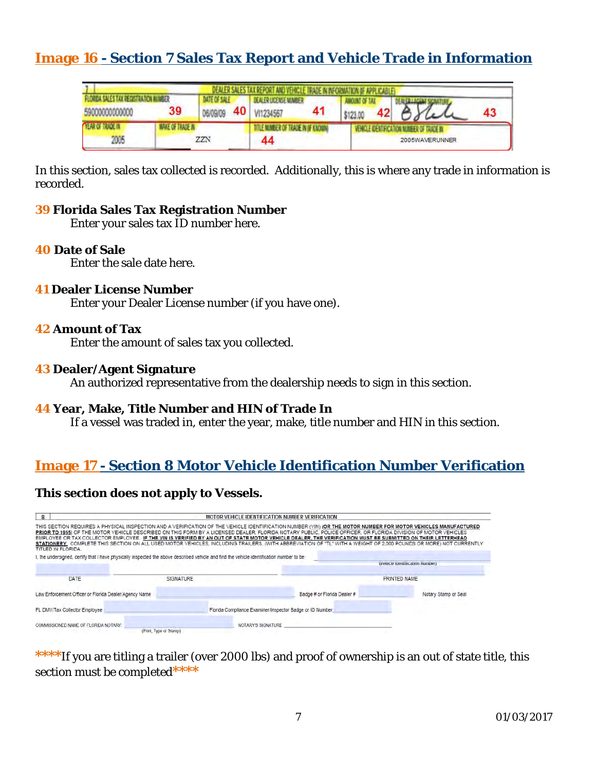## **Image 16 - Section 7 Sales Tax Report and Vehicle Trade in Information**

|                                                          |                         |                                 | DEALER SALES TAX REPORT AND VEHICLE TRADE IN INFORMATION OF APPLICABLE) |  |                                                             |    |
|----------------------------------------------------------|-------------------------|---------------------------------|-------------------------------------------------------------------------|--|-------------------------------------------------------------|----|
| FLORIDA SALES TAX REGISTRATION MINISTR<br>59000000000000 | 39                      | <b>DATE OF SALE</b><br>06/09/09 | DEALER LICENSE MUMBER<br>40 VI1234567                                   |  | 42                                                          | 43 |
| <b>YEAR OF TRADE IN</b><br>2005                          | <b>MAKE OF TRADE IN</b> | ZZN                             | LE MANEER OF TRACE IN IF KNOWN<br>44                                    |  | VEHICLE IDENTIFICATION NUMBER OF TRADE IN<br>2005WAVERUNNER |    |

In this section, sales tax collected is recorded. Additionally, this is where any trade in information is recorded.

- **39 Florida Sales Tax Registration Number**  Enter your sales tax ID number here.
- **40 Date of Sale**

Enter the sale date here.

**41 Dealer License Number** 

Enter your Dealer License number (if you have one).

**42 Amount of Tax** 

Enter the amount of sales tax you collected.

**43 Dealer/Agent Signature** 

An authorized representative from the dealership needs to sign in this section.

**44 Year, Make, Title Number and HIN of Trade In**  If a vessel was traded in, enter the year, make, title number and HIN in this section.

## **Image 17 - Section 8 Motor Vehicle Identification Number Verification**

**This section does not apply to Vessels.** 

| 8                                                                                                                                                                                                                                                                                                                                                                                                                                                                                                                                                                                                                                                                                               |                        | <b>MOTOR VEHICLE IDENTIFICATION NUMBER VERIFICATION</b>  |                             |                                |
|-------------------------------------------------------------------------------------------------------------------------------------------------------------------------------------------------------------------------------------------------------------------------------------------------------------------------------------------------------------------------------------------------------------------------------------------------------------------------------------------------------------------------------------------------------------------------------------------------------------------------------------------------------------------------------------------------|------------------------|----------------------------------------------------------|-----------------------------|--------------------------------|
| THIS SECTION REQUIRES A PHYSICAL INSPECTION AND A VERIFICATION OF THE VEHICLE IDENTIFICATION NUMBER (VIN) <b>(OR THE MOTOR NUMBER FOR MOTOR VEHICLES MANUFACTURED</b><br>PRIOR TO 1955) OF THE MOTOR VEHICLE DESCRIBED ON THIS FORM BY A LICENSED DEALER, FLORIDA NOTARY PUBLIC, POLICE OFFICER, OR FLORIDA DIVISION OF MOTOR VEHICLES<br>EMPLOYEE OR TAX COLLECTOR EMPLOYEE. IF THE VIN IS VERIFIED BY AN OUT OF STATE MOTOR VEHICLE DEALER. THE VERIFICATION MUST BE SUBMITTED ON THEIR LETTERHEAD<br>STATIONERY. COMPLETE THIS SECTION ON ALL USED MOTOR VEHICLES, INCLUDING TRAILERS, (WITH ABBREVIATION OF "TL" WITH A WEIGHT OF 2,000 POUNDS OR MORE) NOT CURRENTLY<br>TITLED IN FLORIDA. |                        |                                                          |                             |                                |
| I, the undersigned, certify that I have physically inspected the above described vehicle and find the vehicle identification number to be:                                                                                                                                                                                                                                                                                                                                                                                                                                                                                                                                                      |                        |                                                          |                             | (Vencie identification Number) |
| DATE                                                                                                                                                                                                                                                                                                                                                                                                                                                                                                                                                                                                                                                                                            | <b>SIGNATURE</b>       |                                                          |                             | <b>PRINTED NAME</b>            |
| Law Enforcement Officer or Florida Dealer/Agency Name                                                                                                                                                                                                                                                                                                                                                                                                                                                                                                                                                                                                                                           |                        |                                                          | Badge # or Florida Dealer # | Notary Stamp or Seal           |
| FL DMV/Tax Collector Employee                                                                                                                                                                                                                                                                                                                                                                                                                                                                                                                                                                                                                                                                   |                        | Florida Compliance Examiner/Inspector Badge or ID Number |                             |                                |
| COMMISSIONED NAME OF FLORIDA NOTARY:                                                                                                                                                                                                                                                                                                                                                                                                                                                                                                                                                                                                                                                            | (Print, Type or Stamp) | <b>NOTARY'S SIGNATURE</b>                                |                             |                                |

**\*\*\*\***If you are titling a trailer (over 2000 lbs) and proof of ownership is an out of state title, this section must be completed**\*\*\*\***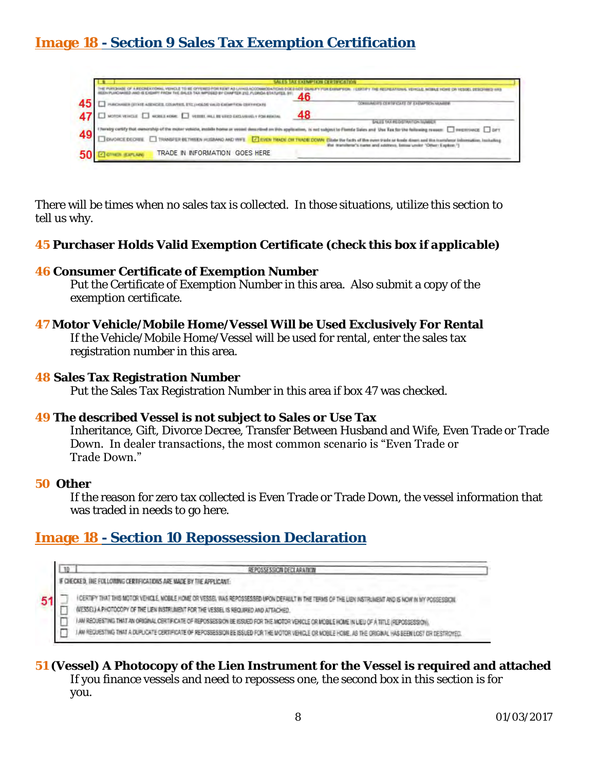## **Image 18 - Section 9 Sales Tax Exemption Certification**

|    | 46                                                                                                                                                                                                                                                                                                                                                                                                      |
|----|---------------------------------------------------------------------------------------------------------------------------------------------------------------------------------------------------------------------------------------------------------------------------------------------------------------------------------------------------------------------------------------------------------|
| 45 | NUMBER OF REPORT OF LARMER'S MARINE                                                                                                                                                                                                                                                                                                                                                                     |
|    | 48<br>47 C MOTOR VEHICLE CONTAINS CONTAINING INTERNATIONAL PORTION<br>SALES TAX REGISTRATION INJURIES                                                                                                                                                                                                                                                                                                   |
| 49 | 1 have by cartify that ownership of the mater vehicle, installe home as vessel demarked on this application, is not subject to Flambe<br>□ Div/ORCE DECIREE □ TRANSFER BETWEEN HUSBAND AND WIFE ■ 22 EVEN TRADE OR TRADE DOWN Cl<br>If not subject to Florida Sales and Use Tax for the following reason: [ ] experioacc: [ ] part<br>manufactor's manus and additions, better under "Other: Explore.") |
|    | TRADE IN INFORMATION GOES HERE                                                                                                                                                                                                                                                                                                                                                                          |

There will be times when no sales tax is collected. In those situations, utilize this section to tell us why.

- **45 Purchaser Holds Valid Exemption Certificate** *(check this box if applicable)*
- **46 Consumer Certificate of Exemption Number**  Put the Certificate of Exemption Number in this area. Also submit a copy of the exemption certificate.
- **47 Motor Vehicle/Mobile Home/Vessel Will be Used Exclusively For Rental**  If the Vehicle/Mobile Home/Vessel will be used for rental, enter the sales tax registration number in this area.
- **48 Sales Tax Registration Number**  Put the Sales Tax Registration Number in this area if box 47 was checked.
- **49 The described Vessel is not subject to Sales or Use Tax**  Inheritance, Gift, Divorce Decree, Transfer Between Husband and Wife, Even Trade or Trade Down. In dealer transactions, the most common scenario is "Even Trade or Trade Down."
- **50 Other**

If the reason for zero tax collected is Even Trade or Trade Down, the vessel information that was traded in needs to go here.

#### **Image 18 - Section 10 Repossession Declaration**

| CHECKED. THE FOLLOWING CERTIFICATIONS ARE MADE BY THE APPLICANT:                                                                                                                                                                               |
|------------------------------------------------------------------------------------------------------------------------------------------------------------------------------------------------------------------------------------------------|
| I CERTIFY THAT THIS MOTOR VEHICLE, MOBILE HOME OR VESSEL WAS REPOSSESSED UPON DEFAULT IN THE TERMS OF THE LIEN INSTRUMENT AND IS NOW IN MY POSSESSION.<br>(VESSEL) A PHOTOCOPY OF THE LIEN INSTRUMENT FOR THE VESSEL IS REQUIRED AND ATTACHED. |
| I AM REQUESTING THAT AN ORIGINAL CERTIFICATE OF REPOSSESSION BE ISSUED FOR THE MOTOR VEHICLE OR MOBILE HOME IN LIEU OF A TITLE (REPOSSESSION                                                                                                   |
| I AN REQUESTING THAT A DUPLICATE CERTIFICATE OF REPOSSESSION BE ISSUED FOR THE MOTOR VEHICLE OR MOBILE HOME. AS THE ORIGINAL HAS BEEN LOST OR DESTROYED.                                                                                       |

**51 (Vessel) A Photocopy of the Lien Instrument for the Vessel is required and attached**  If you finance vessels and need to repossess one, the second box in this section is for you.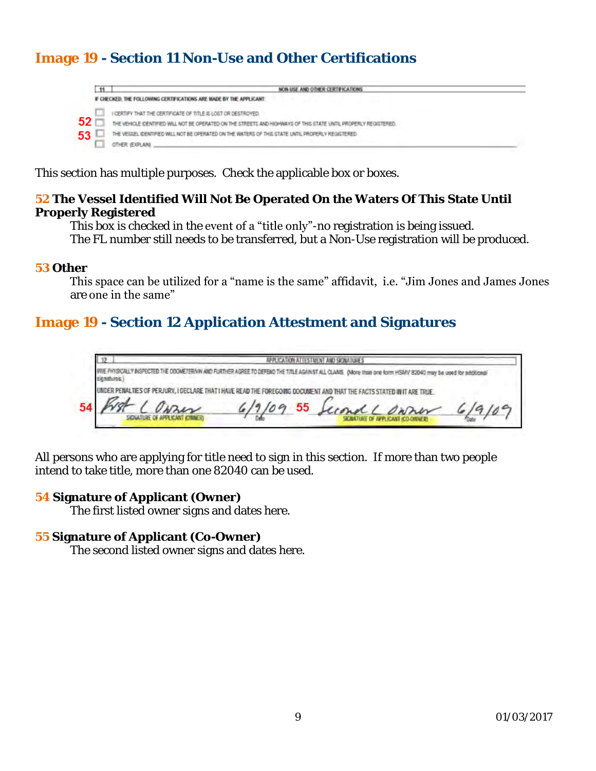## **Image 19 - Section 11 Non-Use and Other Certifications**



This section has multiple purposes. Check the applicable box or boxes.

**52 The Vessel Identified Will Not Be Operated On the Waters Of This State Until Properly Registered** 

This box is checked in the event of a "title only"-no registration is being issued.

The FL number still needs to be transferred, but a Non-Use registration will be produced.

#### **53 Other**

This space can be utilized for a "name is the same" affidavit, i.e. "Jim Jones and James Jones are one in the same"

## **Image 19 - Section 12 Application Attestment and Signatures**

APPLICATION ATTESTMENT AND SIGNATURES WE PHYSICALLY INSPECTED THE DOOMETERNIN AND FURTHER AGREE TO DEFEND THE TITLE AGAINST ALL CLANIS. (More than one form HSANY 82040 may be used for additional sienshires.) UNDER PENALTIES OF PERJURY, I DECLARE THAT I HAVE READ THE FOREGOING DOCUMENT AND THAT THE FACTS STATED IN IT ARE TRUE 54

All persons who are applying for title need to sign in this section. If more than two people intend to take title, more than one 82040 can be used.

**54 Signature of Applicant (Owner)**  The first listed owner signs and dates here.

#### **55 Signature of Applicant (Co-Owner)**

The second listed owner signs and dates here.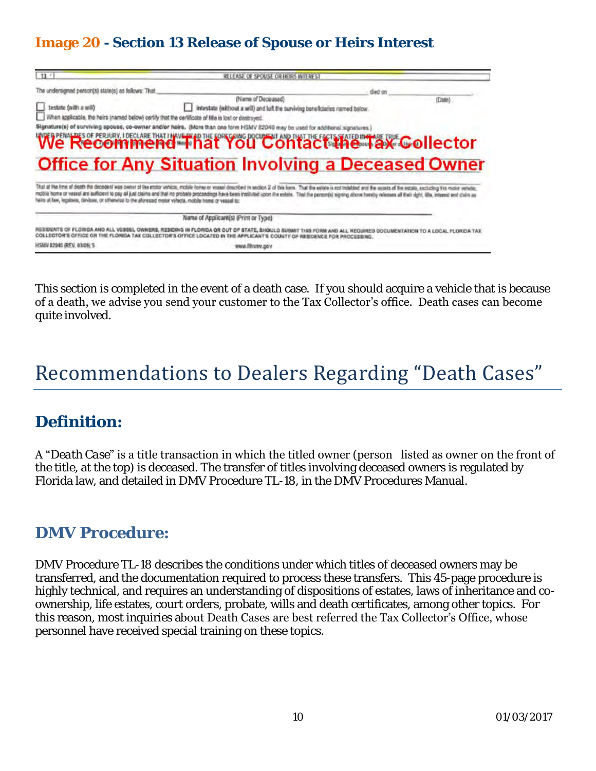## **Image 20 - Section 13 Release of Spouse or Heirs Interest**

| $13 -$                                              | RELEASE OF SPOUSE OR HEIRS INTEREST                                                                                                                                                                                                                                                                                                                                                             |                                                   |
|-----------------------------------------------------|-------------------------------------------------------------------------------------------------------------------------------------------------------------------------------------------------------------------------------------------------------------------------------------------------------------------------------------------------------------------------------------------------|---------------------------------------------------|
| The undersigned person(s) state(s) as follows: That | died on                                                                                                                                                                                                                                                                                                                                                                                         |                                                   |
| testate (with a will)                               | (Name of Deceased)<br>intestate (without a will) and left the surviving beneficiaries named below.<br>When applicable, the heirs (named below) certify that the certificate of title is lost or destroyed.<br>Signature(s) of surviving spouse, co-owner and/or helrs. (More than one form HSMV 82040 may be used for additional signatures.)<br>We Recommend That You Contact the AX Collector | (Date)                                            |
|                                                     |                                                                                                                                                                                                                                                                                                                                                                                                 |                                                   |
|                                                     | <b>Office for Any Situation Involving a Deceased Owner</b><br>That at the time of death the decedent was owner of the motor vehicle, mobile home or vessel doscribed in section 2 of this loms. That the estate is not indebted and the aquats of the aquats of the actain, excitoting ties                                                                                                     |                                                   |
|                                                     | mobile home or vessel and audicions to pay oil just claims and that no probate proceedings have been instituted upon the extent. That the person(s) signing above hereby releases all their right, life, interest and claim as<br>helis at law, legalais, davisse, or offererise to the afteresaid molor vshida, mobile home or vessel to:                                                      |                                                   |
|                                                     | Name of Applicant(s) (Print or Type)                                                                                                                                                                                                                                                                                                                                                            |                                                   |
|                                                     | RESIDENTS OF FLORIDA AND ALL VESSEL OWNERS. RESIDING IN FLORIDA OR OUT OF STATE, SHOULD SUBMIT THIS FORM AND<br>OFFICE OR THE FLORIDA TAX COLLECTOR'S OFFICE LOCATED IN THE APPLICANT'S COUNTY OF RESIDENCE FOR PROCESSING.                                                                                                                                                                     | ALL REQUIRED DOCUMENTATION TO A LOCAL FLORIDA TAX |

This section is completed in the event of a death case. If you should acquire a vehicle that is because of a death, we advise you send your customer to the Tax Collector's office. Death cases can become quite involved.

## Recommendations to Dealers Regarding "Death Cases"

## **Definition:**

A "*Death Case*" is a title transaction in which the titled owner (person listed as owner on the front of the title, at the top) is deceased. The transfer of titles involving deceased owners is regulated by Florida law, and detailed in DMV Procedure TL-18, in the DMV Procedures Manual.

## **DMV Procedure:**

DMV Procedure TL-18 describes the conditions under which titles of deceased owners may be transferred, and the documentation required to process these transfers. This 45-page procedure is highly technical, and requires an understanding of dispositions of estates, laws of inheritance and coownership, life estates, court orders, probate, wills and death certificates, among other topics. For this reason, most inquiries about Death Cases are best referred the Tax Collector's Office, whose personnel have received special training on these topics.